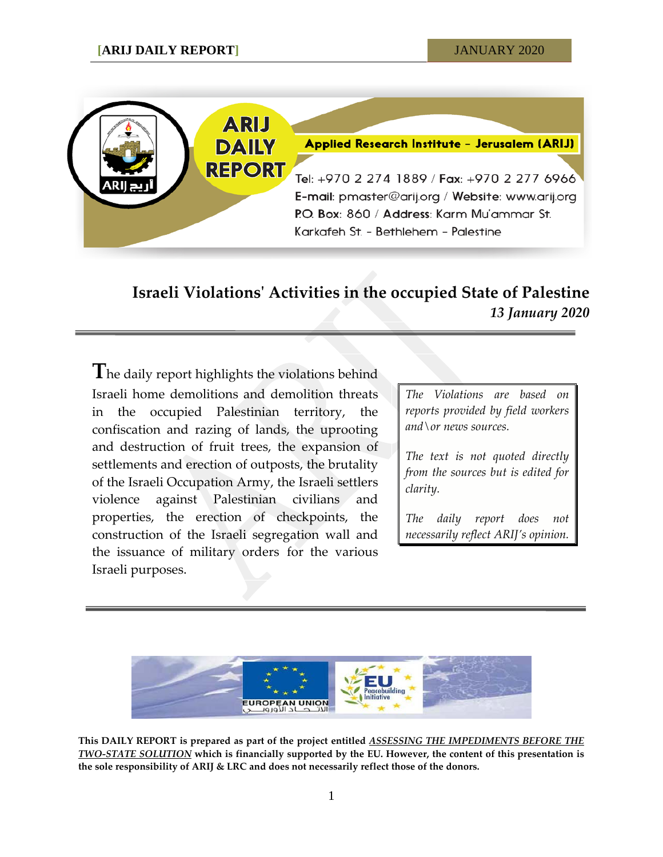

## **Israeli Violations' Activities in the occupied State of Palestine** *13 January 2020*

**T**he daily report highlights the violations behind Israeli home demolitions and demolition threats in the occupied Palestinian territory, the confiscation and razing of lands, the uprooting and destruction of fruit trees, the expansion of settlements and erection of outposts, the brutality of the Israeli Occupation Army, the Israeli settlers violence against Palestinian civilians and properties, the erection of checkpoints, the construction of the Israeli segregation wall and the issuance of military orders for the various Israeli purposes.

*The Violations are based on reports provided by field workers and\or news sources.*

*The text is not quoted directly from the sources but is edited for clarity.*

*The daily report does not necessarily reflect ARIJ's opinion.*



**This DAILY REPORT is prepared as part of the project entitled** *ASSESSING THE IMPEDIMENTS BEFORE THE TWO-STATE SOLUTION* **which is financially supported by the EU. However, the content of this presentation is the sole responsibility of ARIJ & LRC and does not necessarily reflect those of the donors.**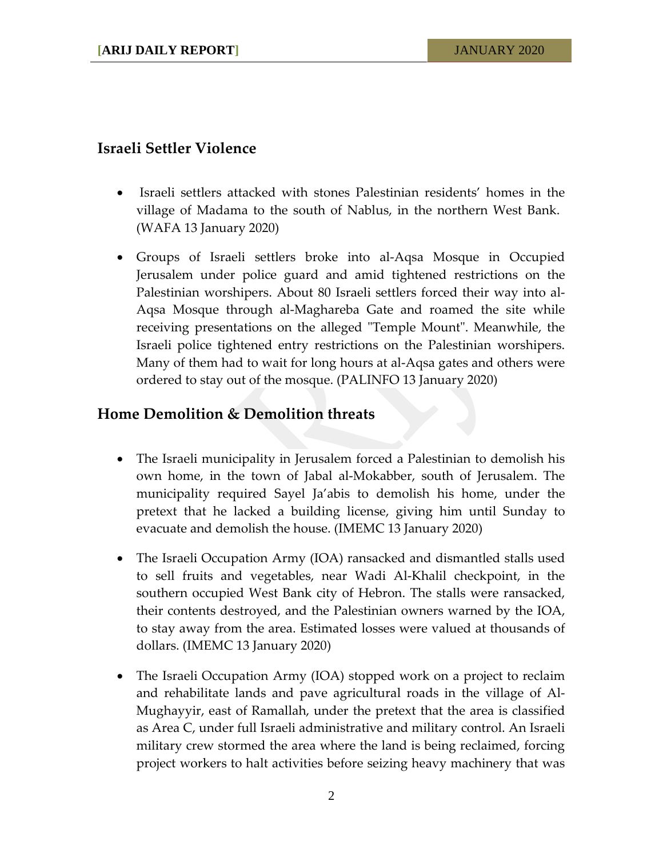## **Israeli Settler Violence**

- Israeli settlers attacked with stones Palestinian residents' homes in the village of Madama to the south of Nablus, in the northern West Bank. (WAFA 13 January 2020)
- Groups of Israeli settlers broke into al-Aqsa Mosque in Occupied Jerusalem under police guard and amid tightened restrictions on the Palestinian worshipers. About 80 Israeli settlers forced their way into al-Aqsa Mosque through al-Maghareba Gate and roamed the site while receiving presentations on the alleged "Temple Mount". Meanwhile, the Israeli police tightened entry restrictions on the Palestinian worshipers. Many of them had to wait for long hours at al-Aqsa gates and others were ordered to stay out of the mosque. (PALINFO 13 January 2020)

## **Home Demolition & Demolition threats**

- The Israeli municipality in Jerusalem forced a Palestinian to demolish his own home, in the town of Jabal al-Mokabber, south of Jerusalem. The municipality required Sayel Ja'abis to demolish his home, under the pretext that he lacked a building license, giving him until Sunday to evacuate and demolish the house. (IMEMC 13 January 2020)
- The Israeli Occupation Army (IOA) ransacked and dismantled stalls used to sell fruits and vegetables, near Wadi Al-Khalil checkpoint, in the southern occupied West Bank city of Hebron. The stalls were ransacked, their contents destroyed, and the Palestinian owners warned by the IOA, to stay away from the area. Estimated losses were valued at thousands of dollars. (IMEMC 13 January 2020)
- The Israeli Occupation Army (IOA) stopped work on a project to reclaim and rehabilitate lands and pave agricultural roads in the village of Al-Mughayyir, east of Ramallah, under the pretext that the area is classified as Area C, under full Israeli administrative and military control. An Israeli military crew stormed the area where the land is being reclaimed, forcing project workers to halt activities before seizing heavy machinery that was